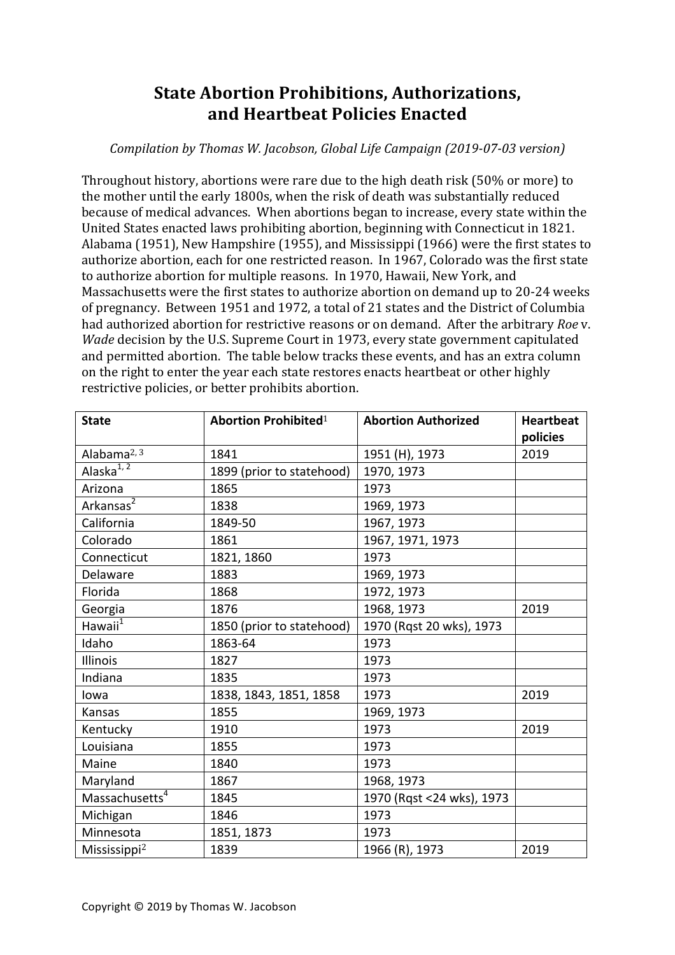## **State Abortion Prohibitions, Authorizations, and Heartbeat Policies Enacted**

*Compilation by Thomas W. Jacobson, Global Life Campaign (2019-07-03 version)*

Throughout history, abortions were rare due to the high death risk  $(50\% \text{ or more})$  to the mother until the early 1800s, when the risk of death was substantially reduced because of medical advances. When abortions began to increase, every state within the United States enacted laws prohibiting abortion, beginning with Connecticut in 1821. Alabama (1951), New Hampshire (1955), and Mississippi (1966) were the first states to authorize abortion, each for one restricted reason. In 1967, Colorado was the first state to authorize abortion for multiple reasons. In 1970, Hawaii, New York, and Massachusetts were the first states to authorize abortion on demand up to 20-24 weeks of pregnancy. Between 1951 and 1972, a total of 21 states and the District of Columbia had authorized abortion for restrictive reasons or on demand. After the arbitrary *Roe* v. *Wade* decision by the U.S. Supreme Court in 1973, every state government capitulated and permitted abortion. The table below tracks these events, and has an extra column on the right to enter the year each state restores enacts heartbeat or other highly restrictive policies, or better prohibits abortion.

| <b>State</b>               | <b>Abortion Prohibited</b> <sup>1</sup> | <b>Abortion Authorized</b> | <b>Heartbeat</b><br>policies |
|----------------------------|-----------------------------------------|----------------------------|------------------------------|
| Alabama $2,3$              | 1841                                    | 1951 (H), 1973             | 2019                         |
| Alaska $\overline{1,2}$    | 1899 (prior to statehood)               | 1970, 1973                 |                              |
| Arizona                    | 1865                                    | 1973                       |                              |
| Arkansas <sup>2</sup>      | 1838                                    | 1969, 1973                 |                              |
| California                 | 1849-50                                 | 1967, 1973                 |                              |
| Colorado                   | 1861                                    | 1967, 1971, 1973           |                              |
| Connecticut                | 1821, 1860                              | 1973                       |                              |
| Delaware                   | 1883                                    | 1969, 1973                 |                              |
| Florida                    | 1868                                    | 1972, 1973                 |                              |
| Georgia                    | 1876                                    | 1968, 1973                 | 2019                         |
| Hawaii $^1$                | 1850 (prior to statehood)               | 1970 (Rqst 20 wks), 1973   |                              |
| Idaho                      | 1863-64                                 | 1973                       |                              |
| Illinois                   | 1827                                    | 1973                       |                              |
| Indiana                    | 1835                                    | 1973                       |                              |
| lowa                       | 1838, 1843, 1851, 1858                  | 1973                       | 2019                         |
| Kansas                     | 1855                                    | 1969, 1973                 |                              |
| Kentucky                   | 1910                                    | 1973                       | 2019                         |
| Louisiana                  | 1855                                    | 1973                       |                              |
| Maine                      | 1840                                    | 1973                       |                              |
| Maryland                   | 1867                                    | 1968, 1973                 |                              |
| Massachusetts <sup>4</sup> | 1845                                    | 1970 (Rgst <24 wks), 1973  |                              |
| Michigan                   | 1846                                    | 1973                       |                              |
| Minnesota                  | 1851, 1873                              | 1973                       |                              |
| Mississippi <sup>2</sup>   | 1839                                    | 1966 (R), 1973             | 2019                         |